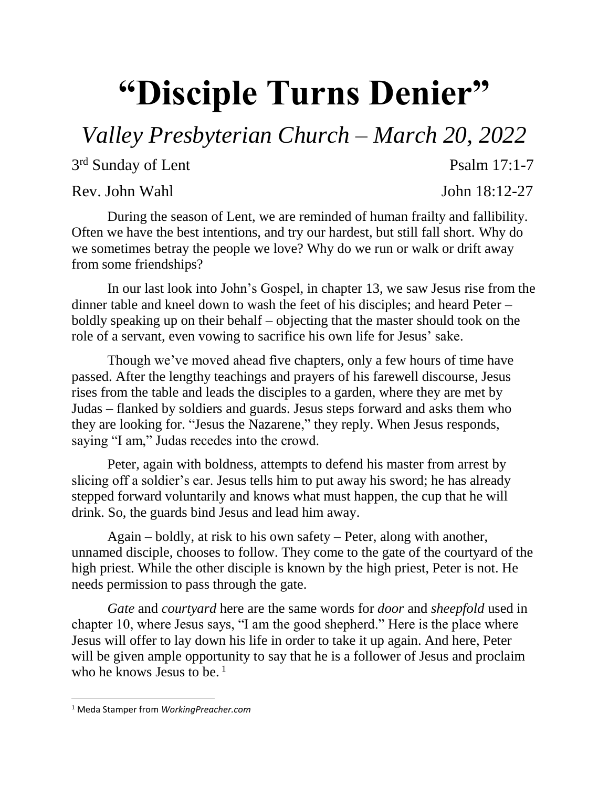## **"Disciple Turns Denier"**

*Valley Presbyterian Church – March 20, 2022*

3<sup>rd</sup> Sunday of Lent Psalm 17:1-7

Rev. John Wahl John 18:12-27

During the season of Lent, we are reminded of human frailty and fallibility. Often we have the best intentions, and try our hardest, but still fall short. Why do we sometimes betray the people we love? Why do we run or walk or drift away from some friendships?

In our last look into John's Gospel, in chapter 13, we saw Jesus rise from the dinner table and kneel down to wash the feet of his disciples; and heard Peter – boldly speaking up on their behalf – objecting that the master should took on the role of a servant, even vowing to sacrifice his own life for Jesus' sake.

Though we've moved ahead five chapters, only a few hours of time have passed. After the lengthy teachings and prayers of his farewell discourse, Jesus rises from the table and leads the disciples to a garden, where they are met by Judas – flanked by soldiers and guards. Jesus steps forward and asks them who they are looking for. "Jesus the Nazarene," they reply. When Jesus responds, saying "I am," Judas recedes into the crowd.

Peter, again with boldness, attempts to defend his master from arrest by slicing off a soldier's ear. Jesus tells him to put away his sword; he has already stepped forward voluntarily and knows what must happen, the cup that he will drink. So, the guards bind Jesus and lead him away.

Again – boldly, at risk to his own safety – Peter, along with another, unnamed disciple, chooses to follow. They come to the gate of the courtyard of the high priest. While the other disciple is known by the high priest, Peter is not. He needs permission to pass through the gate.

*Gate* and *courtyard* here are the same words for *door* and *sheepfold* used in chapter 10, where Jesus says, "I am the good shepherd." Here is the place where Jesus will offer to lay down his life in order to take it up again. And here, Peter will be given ample opportunity to say that he is a follower of Jesus and proclaim who he knows Jesus to be.<sup>1</sup>

 $\overline{\phantom{a}}$ 

<sup>1</sup> Meda Stamper from *WorkingPreacher.com*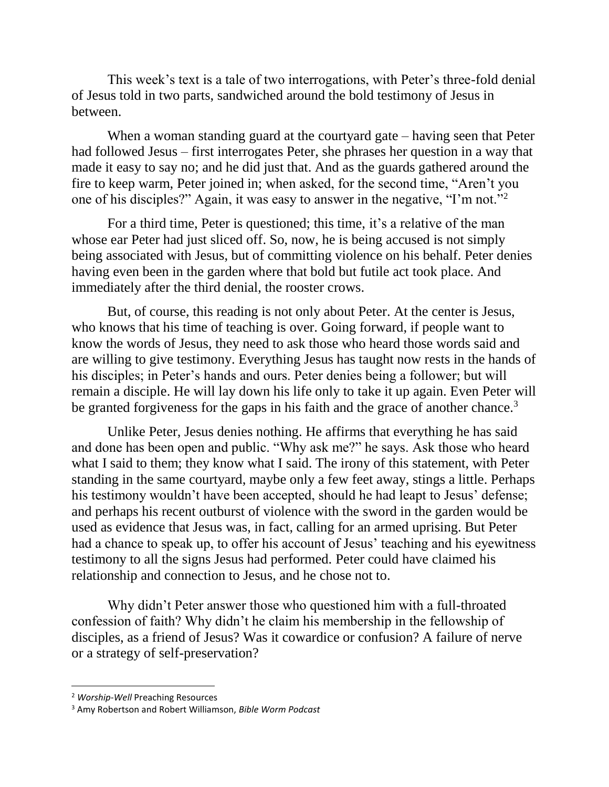This week's text is a tale of two interrogations, with Peter's three-fold denial of Jesus told in two parts, sandwiched around the bold testimony of Jesus in between.

When a woman standing guard at the courtyard gate – having seen that Peter had followed Jesus – first interrogates Peter, she phrases her question in a way that made it easy to say no; and he did just that. And as the guards gathered around the fire to keep warm, Peter joined in; when asked, for the second time, "Aren't you one of his disciples?" Again, it was easy to answer in the negative, "I'm not."<sup>2</sup>

For a third time, Peter is questioned; this time, it's a relative of the man whose ear Peter had just sliced off. So, now, he is being accused is not simply being associated with Jesus, but of committing violence on his behalf. Peter denies having even been in the garden where that bold but futile act took place. And immediately after the third denial, the rooster crows.

But, of course, this reading is not only about Peter. At the center is Jesus, who knows that his time of teaching is over. Going forward, if people want to know the words of Jesus, they need to ask those who heard those words said and are willing to give testimony. Everything Jesus has taught now rests in the hands of his disciples; in Peter's hands and ours. Peter denies being a follower; but will remain a disciple. He will lay down his life only to take it up again. Even Peter will be granted forgiveness for the gaps in his faith and the grace of another chance.<sup>3</sup>

Unlike Peter, Jesus denies nothing. He affirms that everything he has said and done has been open and public. "Why ask me?" he says. Ask those who heard what I said to them; they know what I said. The irony of this statement, with Peter standing in the same courtyard, maybe only a few feet away, stings a little. Perhaps his testimony wouldn't have been accepted, should he had leapt to Jesus' defense; and perhaps his recent outburst of violence with the sword in the garden would be used as evidence that Jesus was, in fact, calling for an armed uprising. But Peter had a chance to speak up, to offer his account of Jesus' teaching and his eyewitness testimony to all the signs Jesus had performed. Peter could have claimed his relationship and connection to Jesus, and he chose not to.

Why didn't Peter answer those who questioned him with a full-throated confession of faith? Why didn't he claim his membership in the fellowship of disciples, as a friend of Jesus? Was it cowardice or confusion? A failure of nerve or a strategy of self-preservation?

l

<sup>2</sup> *Worship-Well* Preaching Resources

<sup>3</sup> Amy Robertson and Robert Williamson, *Bible Worm Podcast*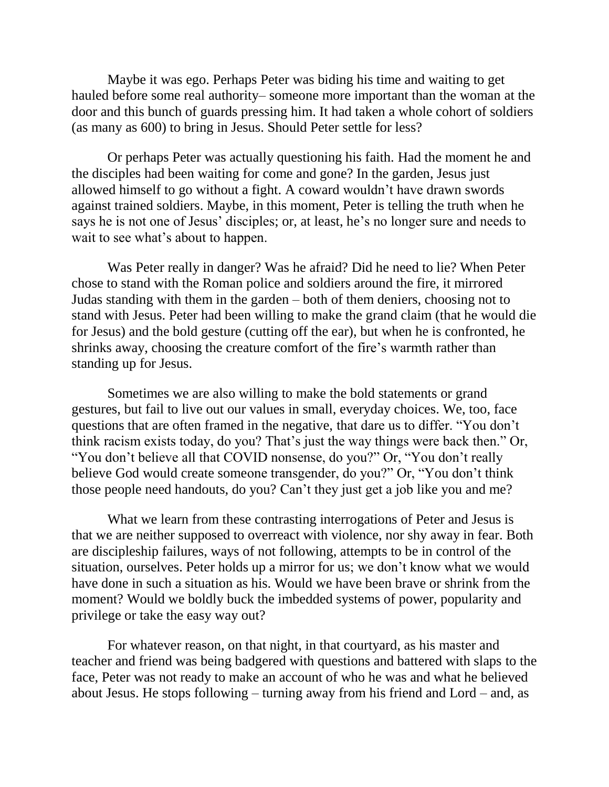Maybe it was ego. Perhaps Peter was biding his time and waiting to get hauled before some real authority– someone more important than the woman at the door and this bunch of guards pressing him. It had taken a whole cohort of soldiers (as many as 600) to bring in Jesus. Should Peter settle for less?

Or perhaps Peter was actually questioning his faith. Had the moment he and the disciples had been waiting for come and gone? In the garden, Jesus just allowed himself to go without a fight. A coward wouldn't have drawn swords against trained soldiers. Maybe, in this moment, Peter is telling the truth when he says he is not one of Jesus' disciples; or, at least, he's no longer sure and needs to wait to see what's about to happen.

Was Peter really in danger? Was he afraid? Did he need to lie? When Peter chose to stand with the Roman police and soldiers around the fire, it mirrored Judas standing with them in the garden – both of them deniers, choosing not to stand with Jesus. Peter had been willing to make the grand claim (that he would die for Jesus) and the bold gesture (cutting off the ear), but when he is confronted, he shrinks away, choosing the creature comfort of the fire's warmth rather than standing up for Jesus.

Sometimes we are also willing to make the bold statements or grand gestures, but fail to live out our values in small, everyday choices. We, too, face questions that are often framed in the negative, that dare us to differ. "You don't think racism exists today, do you? That's just the way things were back then." Or, "You don't believe all that COVID nonsense, do you?" Or, "You don't really believe God would create someone transgender, do you?" Or, "You don't think those people need handouts, do you? Can't they just get a job like you and me?

What we learn from these contrasting interrogations of Peter and Jesus is that we are neither supposed to overreact with violence, nor shy away in fear. Both are discipleship failures, ways of not following, attempts to be in control of the situation, ourselves. Peter holds up a mirror for us; we don't know what we would have done in such a situation as his. Would we have been brave or shrink from the moment? Would we boldly buck the imbedded systems of power, popularity and privilege or take the easy way out?

For whatever reason, on that night, in that courtyard, as his master and teacher and friend was being badgered with questions and battered with slaps to the face, Peter was not ready to make an account of who he was and what he believed about Jesus. He stops following – turning away from his friend and Lord – and, as